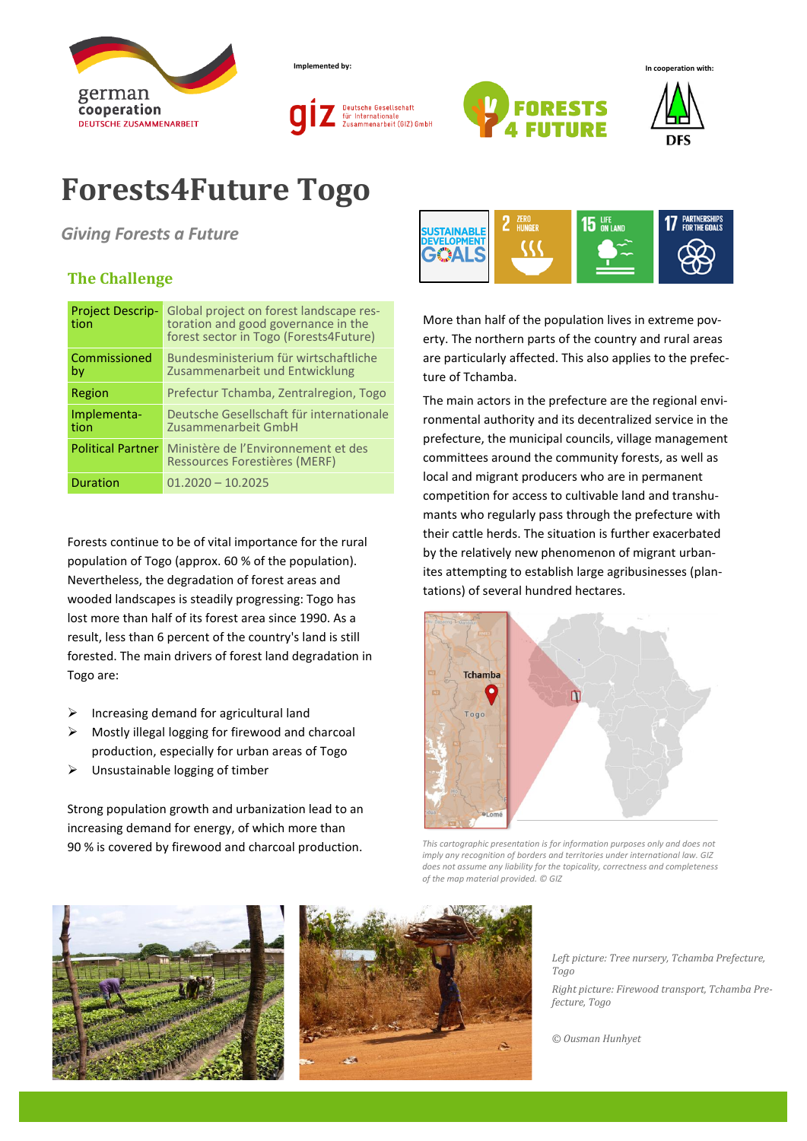

**Implemented by: In cooperation with:**







## **Forests4Future Togo**

*Giving Forests a Future*

## **The Challenge**

| <b>Project Descrip-</b><br>tion | Global project on forest landscape res-<br>toration and good governance in the<br>forest sector in Togo (Forests4Future) |  |
|---------------------------------|--------------------------------------------------------------------------------------------------------------------------|--|
| Commissioned<br>by              | Bundesministerium für wirtschaftliche<br>Zusammenarbeit und Entwicklung                                                  |  |
| Region                          | Prefectur Tchamba, Zentralregion, Togo                                                                                   |  |
| Implementa-<br>tion             | Deutsche Gesellschaft für internationale<br>Zusammenarbeit GmbH                                                          |  |
| <b>Political Partner</b>        | Ministère de l'Environnement et des<br>Ressources Forestières (MERF)                                                     |  |
| <b>Duration</b>                 | $01.2020 - 10.2025$                                                                                                      |  |

Forests continue to be of vital importance for the rural population of Togo (approx. 60 % of the population). Nevertheless, the degradation of forest areas and wooded landscapes is steadily progressing: Togo has lost more than half of its forest area since 1990. As a result, less than 6 percent of the country's land is still forested. The main drivers of forest land degradation in Togo are:

- $\triangleright$  Increasing demand for agricultural land
- ➢ Mostly illegal logging for firewood and charcoal production, especially for urban areas of Togo
- ➢ Unsustainable logging of timber

Strong population growth and urbanization lead to an increasing demand for energy, of which more than 90 % is covered by firewood and charcoal production.



More than half of the population lives in extreme poverty. The northern parts of the country and rural areas are particularly affected. This also applies to the prefecture of Tchamba.

The main actors in the prefecture are the regional environmental authority and its decentralized service in the prefecture, the municipal councils, village management committees around the community forests, as well as local and migrant producers who are in permanent competition for access to cultivable land and transhumants who regularly pass through the prefecture with their cattle herds. The situation is further exacerbated by the relatively new phenomenon of migrant urbanites attempting to establish large agribusinesses (plantations) of several hundred hectares.



*This cartographic presentation is for information purposes only and does not imply any recognition of borders and territories under international law. GIZ does not assume any liability for the topicality, correctness and completeness of the map material provided. © GIZ*





*Left picture: Tree nursery, Tchamba Prefecture, Togo*

*Right picture: Firewood transport, Tchamba Prefecture, Togo*

*© Ousman Hunhyet*